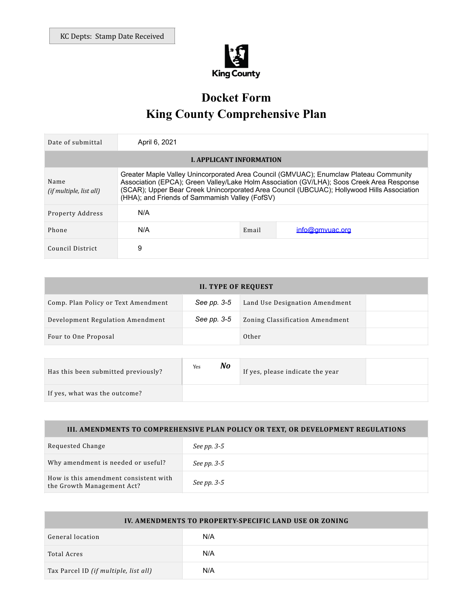

# **Docket Form King County Comprehensive Plan**

| Date of submittal                      | April 6, 2021                                                                                                                                                                                                                                                                                                                      |       |                 |  |
|----------------------------------------|------------------------------------------------------------------------------------------------------------------------------------------------------------------------------------------------------------------------------------------------------------------------------------------------------------------------------------|-------|-----------------|--|
| <b>L. APPLICANT INFORMATION</b>        |                                                                                                                                                                                                                                                                                                                                    |       |                 |  |
| Name<br><i>(if multiple, list all)</i> | Greater Maple Valley Unincorporated Area Council (GMVUAC); Enumclaw Plateau Community<br>Association (EPCA); Green Valley/Lake Holm Association (GV/LHA); Soos Creek Area Response<br>(SCAR); Upper Bear Creek Unincorporated Area Council (UBCUAC); Hollywood Hills Association<br>(HHA); and Friends of Sammamish Valley (FofSV) |       |                 |  |
| Property Address                       | N/A                                                                                                                                                                                                                                                                                                                                |       |                 |  |
| Phone                                  | N/A                                                                                                                                                                                                                                                                                                                                | Email | info@gmyuac.org |  |
| Council District                       | 9                                                                                                                                                                                                                                                                                                                                  |       |                 |  |

| <b>II. TYPE OF REQUEST</b>          |             |                                 |  |  |
|-------------------------------------|-------------|---------------------------------|--|--|
| Comp. Plan Policy or Text Amendment | See pp. 3-5 | Land Use Designation Amendment  |  |  |
| Development Regulation Amendment    | See pp. 3-5 | Zoning Classification Amendment |  |  |
| Four to One Proposal                |             | Other                           |  |  |

| Has this been submitted previously? | Yes | No | If yes, please indicate the year |  |
|-------------------------------------|-----|----|----------------------------------|--|
| If yes, what was the outcome?       |     |    |                                  |  |

## **III. AMENDMENTS TO COMPREHENSIVE PLAN POLICY OR TEXT, OR DEVELOPMENT REGULATIONS**

| Requested Change                                                    | See pp. 3-5 |
|---------------------------------------------------------------------|-------------|
| Why amendment is needed or useful?                                  | See pp. 3-5 |
| How is this amendment consistent with<br>the Growth Management Act? | See pp. 3-5 |

| IV. AMENDMENTS TO PROPERTY-SPECIFIC LAND USE OR ZONING |     |  |  |
|--------------------------------------------------------|-----|--|--|
| General location                                       | N/A |  |  |
| Total Acres                                            | N/A |  |  |
| Tax Parcel ID (if multiple, list all)                  | N/A |  |  |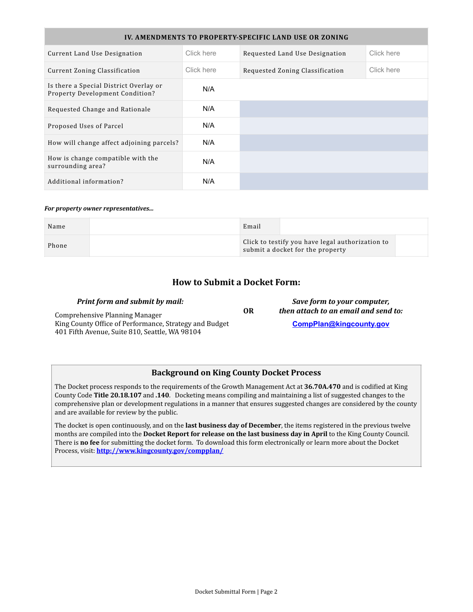| IV. AMENDMENTS TO PROPERTY-SPECIFIC LAND USE OR ZONING                    |            |                                 |            |  |
|---------------------------------------------------------------------------|------------|---------------------------------|------------|--|
| Current Land Use Designation                                              | Click here | Requested Land Use Designation  | Click here |  |
| Current Zoning Classification                                             | Click here | Requested Zoning Classification | Click here |  |
| Is there a Special District Overlay or<br>Property Development Condition? | N/A        |                                 |            |  |
| Requested Change and Rationale                                            | N/A        |                                 |            |  |
| Proposed Uses of Parcel                                                   | N/A        |                                 |            |  |
| How will change affect adjoining parcels?                                 | N/A        |                                 |            |  |
| How is change compatible with the<br>surrounding area?                    | N/A        |                                 |            |  |
| Additional information?                                                   | N/A        |                                 |            |  |

#### *For property owner representatives...*

| Name  | Email                                                                                |  |  |
|-------|--------------------------------------------------------------------------------------|--|--|
| Phone | Click to testify you have legal authorization to<br>submit a docket for the property |  |  |

#### **How to Submit a Docket Form:**

| <b>Print form and submit by mail:</b>                  |    | Save form to your computer,          |  |
|--------------------------------------------------------|----|--------------------------------------|--|
| Comprehensive Planning Manager                         | 0R | then attach to an email and send to: |  |
| King County Office of Performance, Strategy and Budget |    | CompPlan@kingcounty.gov              |  |
| 401 Fifth Avenue, Suite 810, Seattle, WA 98104         |    |                                      |  |

#### **Background on King County Docket Process**

The Docket process responds to the requirements of the Growth Management Act at 36.70A.470 and is codified at King County Code Title 20.18.107 and .140. Docketing means compiling and maintaining a list of suggested changes to the comprehensive plan or development regulations in a manner that ensures suggested changes are considered by the county and are available for review by the public.

The docket is open continuously, and on the **last business day of December**, the items registered in the previous twelve months are compiled into the **Docket Report for release on the last business day in April** to the King County Council. There is **no fee** for submitting the docket form. To download this form electronically or learn more about the Docket Process, visit: **<http://www.kingcounty.gov/compplan/>**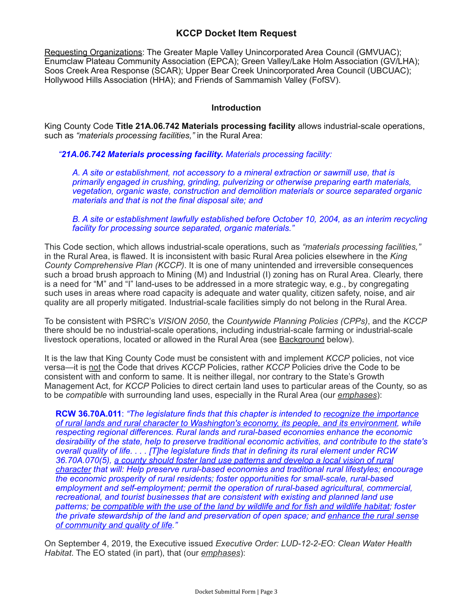### **KCCP Docket Item Request**

Requesting Organizations: The Greater Maple Valley Unincorporated Area Council (GMVUAC); Enumclaw Plateau Community Association (EPCA); Green Valley/Lake Holm Association (GV/LHA); Soos Creek Area Response (SCAR); Upper Bear Creek Unincorporated Area Council (UBCUAC); Hollywood Hills Association (HHA); and Friends of Sammamish Valley (FofSV).

#### **Introduction**

King County Code **Title 21A.06.742 Materials processing facility** allows industrial-scale operations, such as *"materials processing facilities,"* in the Rural Area:

#### *"21A.06.742 Materials processing facility. Materials processing facility:*

*A. A site or establishment, not accessory to a mineral extraction or sawmill use, that is primarily engaged in crushing, grinding, pulverizing or otherwise preparing earth materials, vegetation, organic waste, construction and demolition materials or source separated organic materials and that is not the final disposal site; and* 

*B. A site or establishment lawfully established before October 10, 2004, as an interim recycling facility for processing source separated, organic materials."* 

This Code section, which allows industrial-scale operations, such as *"materials processing facilities,"* in the Rural Area, is flawed. It is inconsistent with basic Rural Area policies elsewhere in the *King County Comprehensive Plan (KCCP)*. It is one of many unintended and irreversible consequences such a broad brush approach to Mining (M) and Industrial (I) zoning has on Rural Area. Clearly, there is a need for "M" and "I" land-uses to be addressed in a more strategic way, e.g., by congregating such uses in areas where road capacity is adequate and water quality, citizen safety, noise, and air quality are all properly mitigated. Industrial-scale facilities simply do not belong in the Rural Area.

To be consistent with PSRC's *VISION 2050*, the *Countywide Planning Policies (CPPs)*, and the *KCCP* there should be no industrial-scale operations, including industrial-scale farming or industrial-scale livestock operations, located or allowed in the Rural Area (see Background below).

It is the law that King County Code must be consistent with and implement *KCCP* policies, not vice versa—it is not the Code that drives *KCCP* Policies, rather *KCCP* Policies drive the Code to be consistent with and conform to same. It is neither illegal, nor contrary to the State's Growth Management Act, for *KCCP* Policies to direct certain land uses to particular areas of the County, so as to be *compatible* with surrounding land uses, especially in the Rural Area (our *emphases*):

**RCW 36.70A.011**: *"The legislature finds that this chapter is intended to recognize the importance of rural lands and rural character to Washington's economy, its people, and its environment, while respecting regional differences. Rural lands and rural-based economies enhance the economic desirability of the state, help to preserve traditional economic activities, and contribute to the state's overall quality of life. . . . [T]he legislature finds that in defining its rural element under RCW 36.70A.070(5), a county should foster land use patterns and develop a local vision of rural character that will: Help preserve rural-based economies and traditional rural lifestyles; encourage the economic prosperity of rural residents; foster opportunities for small-scale, rural-based employment and self-employment; permit the operation of rural-based agricultural, commercial, recreational, and tourist businesses that are consistent with existing and planned land use patterns; be compatible with the use of the land by wildlife and for fish and wildlife habitat; foster the private stewardship of the land and preservation of open space; and enhance the rural sense of community and quality of life."*

On September 4, 2019, the Executive issued *Executive Order: LUD-12-2-EO: Clean Water Health Habitat*. The EO stated (in part), that (our *emphases*):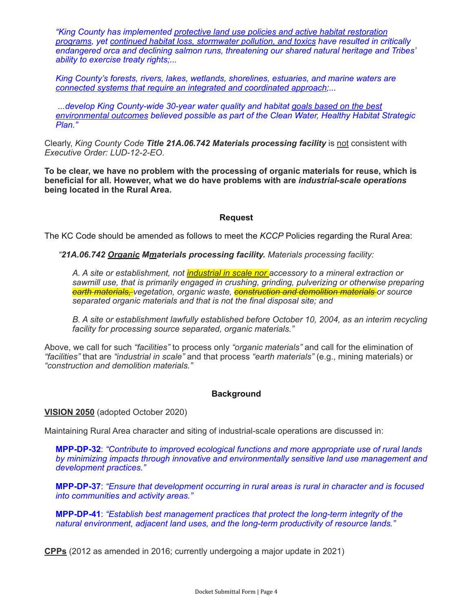*"King County has implemented protective land use policies and active habitat restoration programs, yet continued habitat loss, stormwater pollution, and toxics have resulted in critically endangered orca and declining salmon runs, threatening our shared natural heritage and Tribes' ability to exercise treaty rights;...* 

*King County's forests, rivers, lakes, wetlands, shorelines, estuaries, and marine waters are connected systems that require an integrated and coordinated approach;...* 

 *...develop King County-wide 30-year water quality and habitat goals based on the best environmental outcomes believed possible as part of the Clean Water, Healthy Habitat Strategic Plan."* 

Clearly, *King County Code Title 21A.06.742 Materials processing facility* is not consistent with *Executive Order: LUD-12-2-EO*.

**To be clear, we have no problem with the processing of organic materials for reuse, which is beneficial for all. However, what we do have problems with are** *industrial-scale operations* **being located in the Rural Area.** 

#### **Request**

The KC Code should be amended as follows to meet the *KCCP* Policies regarding the Rural Area:

*"21A.06.742 Organic Mmaterials processing facility. Materials processing facility:* 

*A. A site or establishment, not industrial in scale nor accessory to a mineral extraction or*  sawmill use, that is primarily engaged in crushing, grinding, pulverizing or otherwise preparing *earth materials, vegetation, organic waste, construction and demolition materials or source separated organic materials and that is not the final disposal site; and* 

*B. A site or establishment lawfully established before October 10, 2004, as an interim recycling facility for processing source separated, organic materials."* 

Above, we call for such *"facilities"* to process only *"organic materials"* and call for the elimination of *"facilities"* that are *"industrial in scale"* and that process *"earth materials"* (e.g., mining materials) or *"construction and demolition materials."*

#### **Background**

#### **VISION 2050** (adopted October 2020)

Maintaining Rural Area character and siting of industrial-scale operations are discussed in:

**MPP-DP-32**: *"Contribute to improved ecological functions and more appropriate use of rural lands by minimizing impacts through innovative and environmentally sensitive land use management and development practices."*

**MPP-DP-37**: *"Ensure that development occurring in rural areas is rural in character and is focused into communities and activity areas."*

**MPP-DP-41**: *"Establish best management practices that protect the long-term integrity of the natural environment, adjacent land uses, and the long-term productivity of resource lands."*

**CPPs** (2012 as amended in 2016; currently undergoing a major update in 2021)